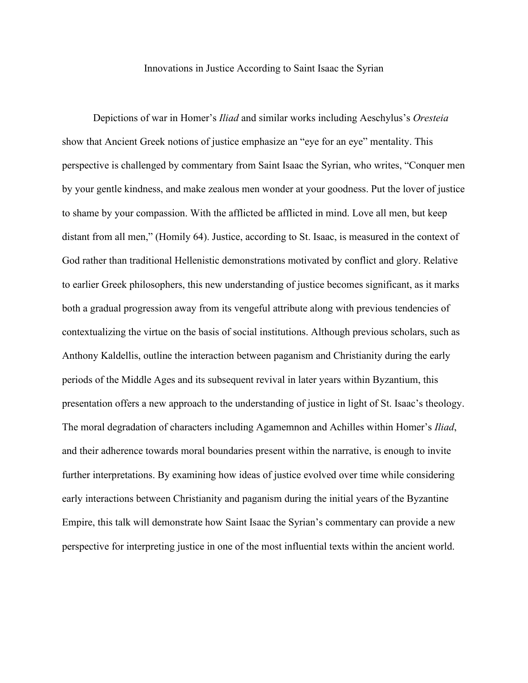Innovations in Justice According to Saint Isaac the Syrian

Depictions of war in Homer's *Iliad* and similar works including Aeschylus's *Oresteia* show that Ancient Greek notions of justice emphasize an "eye for an eye" mentality. This perspective is challenged by commentary from Saint Isaac the Syrian, who writes, "Conquer men by your gentle kindness, and make zealous men wonder at your goodness. Put the lover of justice to shame by your compassion. With the afflicted be afflicted in mind. Love all men, but keep distant from all men," (Homily 64). Justice, according to St. Isaac, is measured in the context of God rather than traditional Hellenistic demonstrations motivated by conflict and glory. Relative to earlier Greek philosophers, this new understanding of justice becomes significant, as it marks both a gradual progression away from its vengeful attribute along with previous tendencies of contextualizing the virtue on the basis of social institutions. Although previous scholars, such as Anthony Kaldellis, outline the interaction between paganism and Christianity during the early periods of the Middle Ages and its subsequent revival in later years within Byzantium, this presentation offers a new approach to the understanding of justice in light of St. Isaac's theology. The moral degradation of characters including Agamemnon and Achilles within Homer's *Iliad*, and their adherence towards moral boundaries present within the narrative, is enough to invite further interpretations. By examining how ideas of justice evolved over time while considering early interactions between Christianity and paganism during the initial years of the Byzantine Empire, this talk will demonstrate how Saint Isaac the Syrian's commentary can provide a new perspective for interpreting justice in one of the most influential texts within the ancient world.